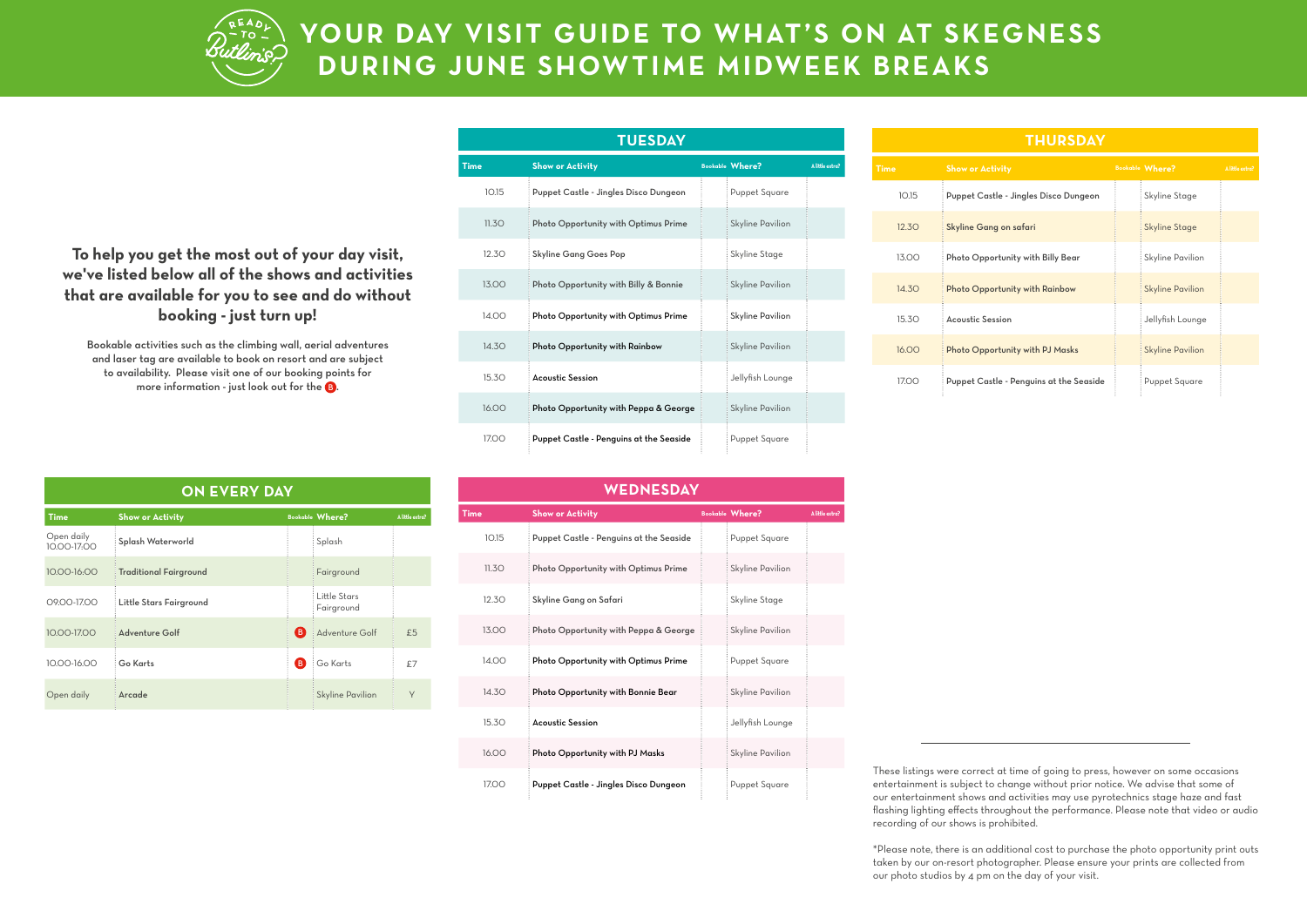

## **YOUR DAY VISIT GUIDE TO WHAT'S ON AT SKEGNESS DURING JUNE SHOWTIME MIDWEEK BREAKS**

**To help you get the most out of your day visit, we've listed below all of the shows and activities that are available for you to see and do without booking - just turn up!**

Bookable activities such as the climbing wall, aerial adventures and laser tag are available to book on resort and are subject to availability. Please visit one of our booking points for more information - just look out for the  $\mathbf G$ .

| <b>TUESDAY</b> |                                         |  |                         |                 |  |
|----------------|-----------------------------------------|--|-------------------------|-----------------|--|
| Time           | <b>Show or Activity</b>                 |  | <b>Bookable Where?</b>  | A little extra? |  |
| 10.15          | Puppet Castle - Jingles Disco Dungeon   |  | Puppet Square           |                 |  |
| 11.3O          | Photo Opportunity with Optimus Prime    |  | <b>Skyline Pavilion</b> |                 |  |
| 12.3O          | <b>Skyline Gang Goes Pop</b>            |  | Skyline Stage           |                 |  |
| 13.00          | Photo Opportunity with Billy & Bonnie   |  | <b>Skyline Pavilion</b> |                 |  |
| 14.00          | Photo Opportunity with Optimus Prime    |  | Skyline Pavilion        |                 |  |
| 14.3O          | Photo Opportunity with Rainbow          |  | Skyline Pavilion        |                 |  |
| 15.3O          | <b>Acoustic Session</b>                 |  | Jellyfish Lounge        |                 |  |
| 16.00          | Photo Opportunity with Peppa & George   |  | <b>Skyline Pavilion</b> |                 |  |
| 17.00          | Puppet Castle - Penguins at the Seaside |  | Puppet Square           |                 |  |

| <b>THURSDAY</b> |                                         |  |                         |                 |  |
|-----------------|-----------------------------------------|--|-------------------------|-----------------|--|
| <b>Time</b>     | <b>Show or Activity</b>                 |  | <b>Bookable Where?</b>  | A little extra? |  |
| 10.15           | Puppet Castle - Jingles Disco Dungeon   |  | Skyline Stage           |                 |  |
| 12.30           | Skyline Gang on safari                  |  | Skyline Stage           |                 |  |
| 13.00           | Photo Opportunity with Billy Bear       |  | Skyline Pavilion        |                 |  |
| 14.3O           | Photo Opportunity with Rainbow          |  | <b>Skyline Pavilion</b> |                 |  |
| 15.30           | <b>Acoustic Session</b>                 |  | Jellyfish Lounge        |                 |  |
| 16,00           | Photo Opportunity with PJ Masks         |  | <b>Skyline Pavilion</b> |                 |  |
| 17.00           | Puppet Castle - Penguins at the Seaside |  | Puppet Square           |                 |  |

**ON EVERY DAY**

| <b>Time</b>               | <b>Show or Activity</b>       |    | <b>Bookable Where?</b>     | A little extra? |
|---------------------------|-------------------------------|----|----------------------------|-----------------|
| Open daily<br>10.00-17:00 | Splash Waterworld             |    | Splash                     |                 |
| 10.00-16:00               | <b>Traditional Fairground</b> |    | Fairground                 |                 |
| 09.00-17.00               | Little Stars Fairground       |    | Little Stars<br>Fairground |                 |
| 10.00-17.00               | Adventure Golf                | (B | Adventure Golf             | £5              |
| 10.00-16.00               | Go Karts                      | (B | Go Karts                   | £7              |
| Open daily                | Arcade                        |    | <b>Skyline Pavilion</b>    | Y               |

| WEDNESDAY |                                         |  |                        |                 |
|-----------|-----------------------------------------|--|------------------------|-----------------|
| Time      | <b>Show or Activity</b>                 |  | <b>Bookable Where?</b> | A little extra? |
| 10.15     | Puppet Castle - Penguins at the Seaside |  | Puppet Square          |                 |
| 11.3O     | Photo Opportunity with Optimus Prime    |  | Skyline Pavilion       |                 |
| 12.30     | Skyline Gang on Safari                  |  | Skyline Stage          |                 |
| 13.00     | Photo Opportunity with Peppa & George   |  | Skyline Pavilion       |                 |
| 14.00     | Photo Opportunity with Optimus Prime    |  | Puppet Square          |                 |
| 14.30     | Photo Opportunity with Bonnie Bear      |  | Skyline Pavilion       |                 |
| 15.3O     | <b>Acoustic Session</b>                 |  | Jellyfish Lounge       |                 |
| 16.00     | Photo Opportunity with PJ Masks         |  | Skyline Pavilion       |                 |
| 17.00     | Puppet Castle - Jingles Disco Dungeon   |  | Puppet Square          |                 |

These listings were correct at time of going to press, however on some occasions entertainment is subject to change without prior notice. We advise that some of our entertainment shows and activities may use pyrotechnics stage haze and fast flashing lighting effects throughout the performance. Please note that video or audio recording of our shows is prohibited.

\*Please note, there is an additional cost to purchase the photo opportunity print outs taken by our on-resort photographer. Please ensure your prints are collected from our photo studios by 4 pm on the day of your visit.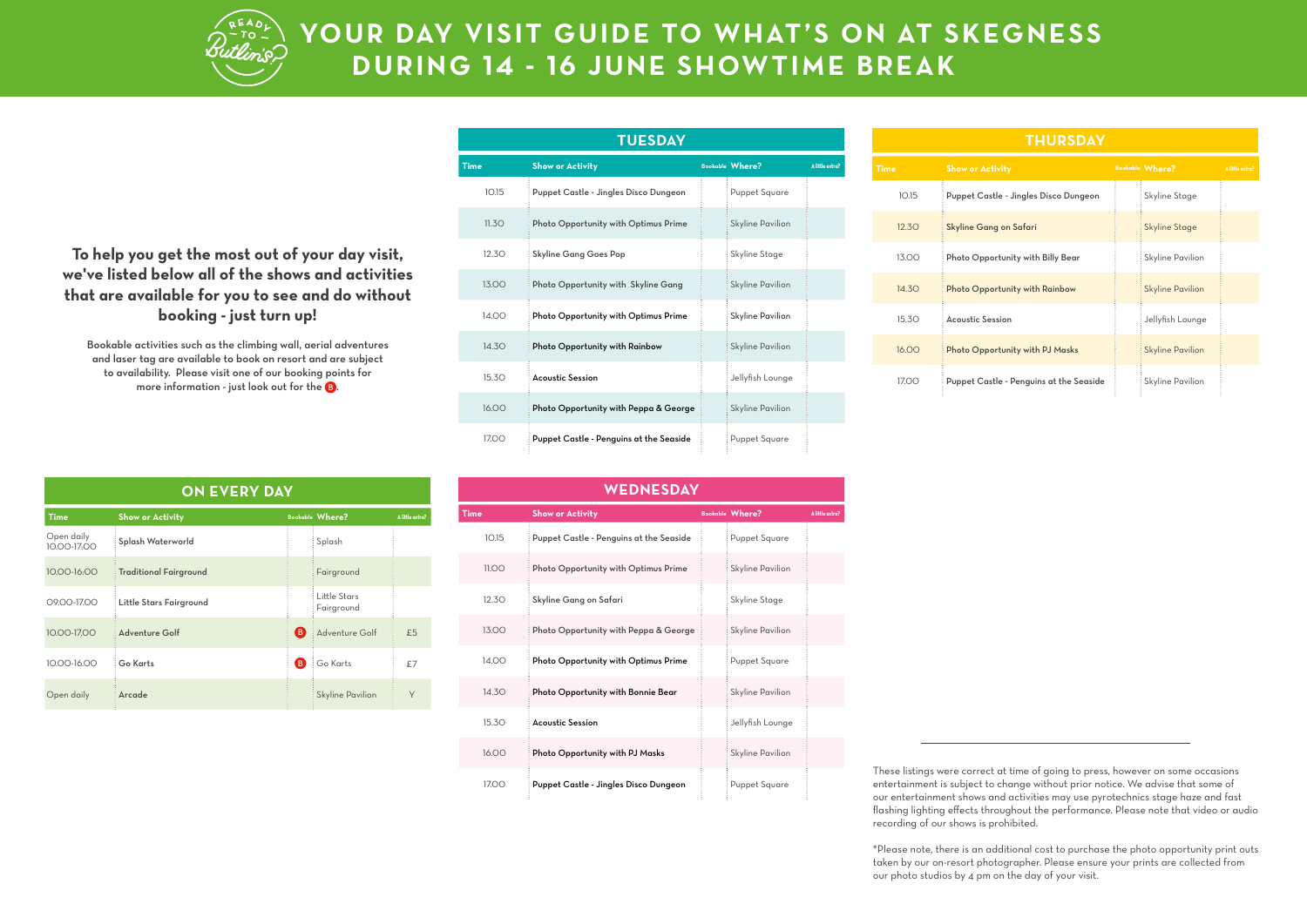

## **YOUR DAY VISIT GUIDE TO WHAT'S ON AT SKEGNESS DURING 14 - 16 JUNE SHOWTIME BREAK**

**To help you get the most out of your day visit, we've listed below all of the shows and activities that are available for you to see and do without booking - just turn up!**

Bookable activities such as the climbing wall, aerial adventures and laser tag are available to book on resort and are subject to availability. Please visit one of our booking points for more information - just look out for the  $\mathbf G$ .

| <b>TUESDAY</b> |                                         |  |                         |                 |
|----------------|-----------------------------------------|--|-------------------------|-----------------|
| <b>Time</b>    | <b>Show or Activity</b>                 |  | <b>Bookable Where?</b>  | A little extra? |
| 10.15          | Puppet Castle - Jingles Disco Dungeon   |  | Puppet Square           |                 |
| 11.3O          | Photo Opportunity with Optimus Prime    |  | <b>Skyline Pavilion</b> |                 |
| 12.3O          | <b>Skyline Gang Goes Pop</b>            |  | Skyline Stage           |                 |
| 13.00          | Photo Opportunity with Skyline Gang     |  | <b>Skyline Pavilion</b> |                 |
| 14.00          | Photo Opportunity with Optimus Prime    |  | Skyline Pavilion        |                 |
| 14.3O          | Photo Opportunity with Rainbow          |  | <b>Skyline Pavilion</b> |                 |
| 15.3O          | <b>Acoustic Session</b>                 |  | Jellyfish Lounge        |                 |
| 16.00          | Photo Opportunity with Peppa & George   |  | <b>Skyline Pavilion</b> |                 |
| 17.00          | Puppet Castle - Penguins at the Seaside |  | Puppet Square           |                 |

| <b>THURSDAY</b> |                                         |  |                         |                 |
|-----------------|-----------------------------------------|--|-------------------------|-----------------|
| <b>Time</b>     | <b>Show or Activity</b>                 |  | <b>Bookable Where?</b>  | A little extra? |
| 10.15           | Puppet Castle - Jingles Disco Dungeon   |  | Skyline Stage           |                 |
| 12.30           | Skyline Gang on Safari                  |  | <b>Skyline Stage</b>    |                 |
| 13.00           | Photo Opportunity with Billy Bear       |  | Skyline Pavilion        |                 |
| 14.30           | Photo Opportunity with Rainbow          |  | <b>Skyline Pavilion</b> |                 |
| 15.3O           | <b>Acoustic Session</b>                 |  | Jellyfish Lounge        |                 |
| 16.00           | Photo Opportunity with PJ Masks         |  | <b>Skyline Pavilion</b> |                 |
| 17.00           | Puppet Castle - Penguins at the Seaside |  | Skyline Pavilion        |                 |

**ON EVERY DAY**

| <b>Time</b>               | <b>Show or Activity</b>       |    | <b>Bookable Where?</b>     | A little extra? |
|---------------------------|-------------------------------|----|----------------------------|-----------------|
| Open daily<br>10.00-17:00 | Splash Waterworld             |    | Splash                     |                 |
| $10.00 - 16.00$           | <b>Traditional Fairground</b> |    | Fairground                 |                 |
| 09.00-17.00               | Little Stars Fairground       |    | Little Stars<br>Fairground |                 |
| 10.00-17.00               | Adventure Golf                | B. | Adventure Golf             | £5              |
| 10.00-16.00               | Go Karts                      | ΈΒ | Go Karts                   | £7              |
| Open daily                | Arcade                        |    | <b>Skyline Pavilion</b>    | Y               |

| WEDNESDAY |                                         |  |                        |                 |
|-----------|-----------------------------------------|--|------------------------|-----------------|
| Time      | <b>Show or Activity</b>                 |  | <b>Bookable Where?</b> | A little extra? |
| 10.15     | Puppet Castle - Penguins at the Seaside |  | Puppet Square          |                 |
| 11.00     | Photo Opportunity with Optimus Prime    |  | Skyline Pavilion       |                 |
| 12.3O     | Skyline Gang on Safari                  |  | Skyline Stage          |                 |
| 13.00     | Photo Opportunity with Peppa & George   |  | Skyline Pavilion       |                 |
| 14.00     | Photo Opportunity with Optimus Prime    |  | Puppet Square          |                 |
| 14.3O     | Photo Opportunity with Bonnie Bear      |  | Skyline Pavilion       |                 |
| 15.3O     | <b>Acoustic Session</b>                 |  | Jellyfish Lounge       |                 |
| 16.00     | Photo Opportunity with PJ Masks         |  | Skyline Pavilion       |                 |
| 17.00     | Puppet Castle - Jingles Disco Dungeon   |  | Puppet Square          |                 |

These listings were correct at time of going to press, however on some occasions entertainment is subject to change without prior notice. We advise that some of our entertainment shows and activities may use pyrotechnics stage haze and fast flashing lighting effects throughout the performance. Please note that video or audio recording of our shows is prohibited.

\*Please note, there is an additional cost to purchase the photo opportunity print outs taken by our on-resort photographer. Please ensure your prints are collected from our photo studios by 4 pm on the day of your visit.